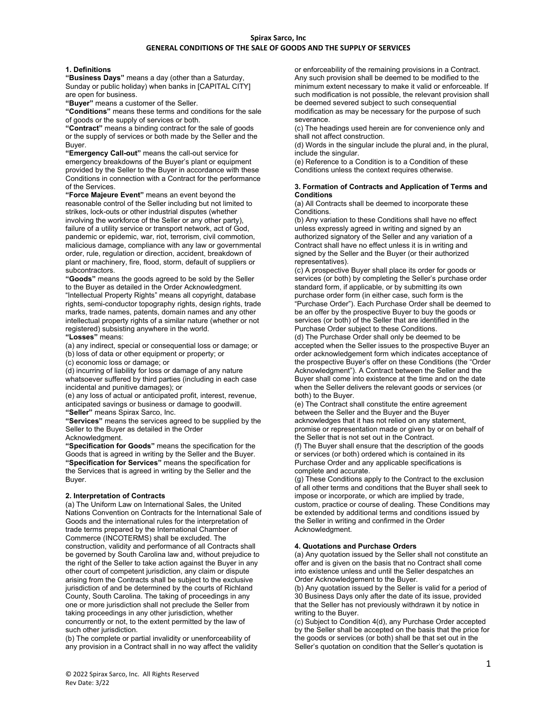#### **1. Definitions**

**"Business Days"** means a day (other than a Saturday, Sunday or public holiday) when banks in [CAPITAL CITY] are open for business.

**"Buyer"** means a customer of the Seller.

**"Conditions"** means these terms and conditions for the sale of goods or the supply of services or both.

**"Contract"** means a binding contract for the sale of goods or the supply of services or both made by the Seller and the Buyer.

**"Emergency Call-out"** means the call-out service for emergency breakdowns of the Buyer's plant or equipment provided by the Seller to the Buyer in accordance with these Conditions in connection with a Contract for the performance of the Services.

**"Force Majeure Event"** means an event beyond the reasonable control of the Seller including but not limited to strikes, lock-outs or other industrial disputes (whether involving the workforce of the Seller or any other party), failure of a utility service or transport network, act of God, pandemic or epidemic, war, riot, terrorism, civil commotion, malicious damage, compliance with any law or governmental order, rule, regulation or direction, accident, breakdown of plant or machinery, fire, flood, storm, default of suppliers or subcontractors.

**"Goods"** means the goods agreed to be sold by the Seller to the Buyer as detailed in the Order Acknowledgment. "Intellectual Property Rights" means all copyright, database rights, semi-conductor topography rights, design rights, trade marks, trade names, patents, domain names and any other intellectual property rights of a similar nature (whether or not registered) subsisting anywhere in the world. **"Losses"** means:

(a) any indirect, special or consequential loss or damage; or (b) loss of data or other equipment or property; or

(c) economic loss or damage; or

(d) incurring of liability for loss or damage of any nature whatsoever suffered by third parties (including in each case incidental and punitive damages); or

(e) any loss of actual or anticipated profit, interest, revenue, anticipated savings or business or damage to goodwill.

**"Seller"** means Spirax Sarco, Inc.

**"Services"** means the services agreed to be supplied by the Seller to the Buyer as detailed in the Order

Acknowledgment.

**"Specification for Goods"** means the specification for the Goods that is agreed in writing by the Seller and the Buyer. **"Specification for Services"** means the specification for the Services that is agreed in writing by the Seller and the Buyer.

#### **2. Interpretation of Contracts**

(a) The Uniform Law on International Sales, the United Nations Convention on Contracts for the International Sale of Goods and the international rules for the interpretation of trade terms prepared by the International Chamber of Commerce (INCOTERMS) shall be excluded. The construction, validity and performance of all Contracts shall be governed by South Carolina law and, without prejudice to the right of the Seller to take action against the Buyer in any other court of competent jurisdiction, any claim or dispute arising from the Contracts shall be subject to the exclusive jurisdiction of and be determined by the courts of Richland County, South Carolina. The taking of proceedings in any one or more jurisdiction shall not preclude the Seller from taking proceedings in any other jurisdiction, whether concurrently or not, to the extent permitted by the law of such other jurisdiction.

(b) The complete or partial invalidity or unenforceability of any provision in a Contract shall in no way affect the validity or enforceability of the remaining provisions in a Contract. Any such provision shall be deemed to be modified to the minimum extent necessary to make it valid or enforceable. If such modification is not possible, the relevant provision shall be deemed severed subject to such consequential modification as may be necessary for the purpose of such severance.

(c) The headings used herein are for convenience only and shall not affect construction.

(d) Words in the singular include the plural and, in the plural, include the singular.

(e) Reference to a Condition is to a Condition of these Conditions unless the context requires otherwise.

#### **3. Formation of Contracts and Application of Terms and Conditions**

(a) All Contracts shall be deemed to incorporate these Conditions.

(b) Any variation to these Conditions shall have no effect unless expressly agreed in writing and signed by an authorized signatory of the Seller and any variation of a Contract shall have no effect unless it is in writing and signed by the Seller and the Buyer (or their authorized representatives).

(c) A prospective Buyer shall place its order for goods or services (or both) by completing the Seller's purchase order standard form, if applicable, or by submitting its own purchase order form (in either case, such form is the "Purchase Order"). Each Purchase Order shall be deemed to be an offer by the prospective Buyer to buy the goods or services (or both) of the Seller that are identified in the Purchase Order subject to these Conditions.

(d) The Purchase Order shall only be deemed to be accepted when the Seller issues to the prospective Buyer an order acknowledgement form which indicates acceptance of the prospective Buyer's offer on these Conditions (the "Order Acknowledgment"). A Contract between the Seller and the Buyer shall come into existence at the time and on the date when the Seller delivers the relevant goods or services (or both) to the Buyer.

(e) The Contract shall constitute the entire agreement between the Seller and the Buyer and the Buyer acknowledges that it has not relied on any statement, promise or representation made or given by or on behalf of the Seller that is not set out in the Contract.

(f) The Buyer shall ensure that the description of the goods or services (or both) ordered which is contained in its Purchase Order and any applicable specifications is complete and accurate.

(g) These Conditions apply to the Contract to the exclusion of all other terms and conditions that the Buyer shall seek to impose or incorporate, or which are implied by trade, custom, practice or course of dealing. These Conditions may be extended by additional terms and conditions issued by the Seller in writing and confirmed in the Order Acknowledgment.

## **4. Quotations and Purchase Orders**

(a) Any quotation issued by the Seller shall not constitute an offer and is given on the basis that no Contract shall come into existence unless and until the Seller despatches an Order Acknowledgement to the Buyer.

(b) Any quotation issued by the Seller is valid for a period of 30 Business Days only after the date of its issue, provided that the Seller has not previously withdrawn it by notice in writing to the Buyer.

(c) Subject to Condition 4(d), any Purchase Order accepted by the Seller shall be accepted on the basis that the price for the goods or services (or both) shall be that set out in the Seller's quotation on condition that the Seller's quotation is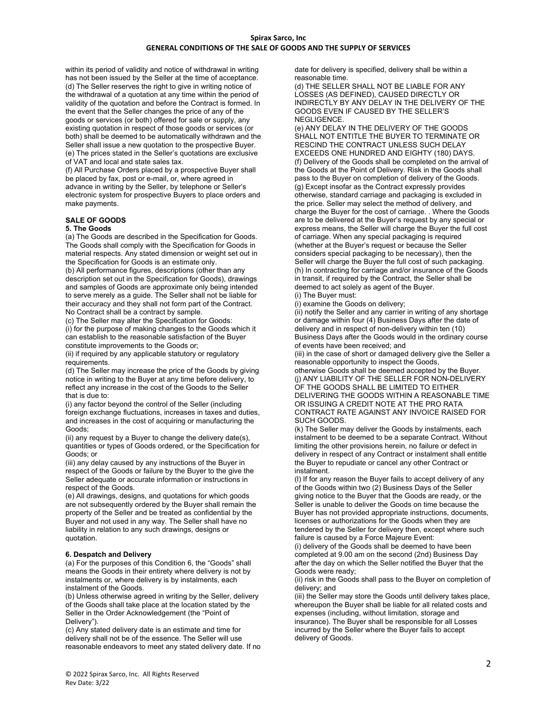within its period of validity and notice of withdrawal in writing has not been issued by the Seller at the time of acceptance. (d) The Seller reserves the right to give in writing notice of the withdrawal of a quotation at any time within the period of validity of the quotation and before the Contract is formed. In the event that the Seller changes the price of any of the goods or services (or both) offered for sale or supply, any existing quotation in respect of those goods or services (or both) shall be deemed to be automatically withdrawn and the Seller shall issue a new quotation to the prospective Buyer. (e) The prices stated in the Seller's quotations are exclusive of VAT and local and state sales tax.

(f) All Purchase Orders placed by a prospective Buyer shall be placed by fax, post or e-mail, or, where agreed in advance in writing by the Seller, by telephone or Seller's electronic system for prospective Buyers to place orders and make payments.

# **SALE OF GOODS**

# **5. The Goods**

(a) The Goods are described in the Specification for Goods. The Goods shall comply with the Specification for Goods in material respects. Any stated dimension or weight set out in the Specification for Goods is an estimate only. (b) All performance figures, descriptions (other than any description set out in the Specification for Goods), drawings and samples of Goods are approximate only being intended to serve merely as a guide. The Seller shall not be liable for

their accuracy and they shall not form part of the Contract. No Contract shall be a contract by sample. (c) The Seller may alter the Specification for Goods: (i) for the purpose of making changes to the Goods which it can establish to the reasonable satisfaction of the Buyer

constitute improvements to the Goods or; (ii) if required by any applicable statutory or regulatory requirements.

(d) The Seller may increase the price of the Goods by giving notice in writing to the Buyer at any time before delivery, to reflect any increase in the cost of the Goods to the Seller that is due to:

(i) any factor beyond the control of the Seller (including foreign exchange fluctuations, increases in taxes and duties, and increases in the cost of acquiring or manufacturing the Goods;

(ii) any request by a Buyer to change the delivery date(s), quantities or types of Goods ordered, or the Specification for Goods; or

(iii) any delay caused by any instructions of the Buyer in respect of the Goods or failure by the Buyer to the give the Seller adequate or accurate information or instructions in respect of the Goods.

(e) All drawings, designs, and quotations for which goods are not subsequently ordered by the Buyer shall remain the property of the Seller and be treated as confidential by the Buyer and not used in any way. The Seller shall have no liability in relation to any such drawings, designs or quotation.

#### **6. Despatch and Delivery**

(a) For the purposes of this Condition 6, the "Goods" shall means the Goods in their entirety where delivery is not by instalments or, where delivery is by instalments, each instalment of the Goods.

(b) Unless otherwise agreed in writing by the Seller, delivery of the Goods shall take place at the location stated by the Seller in the Order Acknowledgement (the "Point of Delivery").

(c) Any stated delivery date is an estimate and time for delivery shall not be of the essence. The Seller will use reasonable endeavors to meet any stated delivery date. If no date for delivery is specified, delivery shall be within a reasonable time.

(d) THE SELLER SHALL NOT BE LIABLE FOR ANY LOSSES (AS DEFINED), CAUSED DIRECTLY OR INDIRECTLY BY ANY DELAY IN THE DELIVERY OF THE GOODS EVEN IF CAUSED BY THE SELLER'S NEGLIGENCE.

(e) ANY DELAY IN THE DELIVERY OF THE GOODS SHALL NOT ENTITLE THE BUYER TO TERMINATE OR RESCIND THE CONTRACT UNLESS SUCH DELAY EXCEEDS ONE HUNDRED AND EIGHTY (180) DAYS. (f) Delivery of the Goods shall be completed on the arrival of the Goods at the Point of Delivery. Risk in the Goods shall pass to the Buyer on completion of delivery of the Goods. (g) Except insofar as the Contract expressly provides otherwise, standard carriage and packaging is excluded in the price. Seller may select the method of delivery, and charge the Buyer for the cost of carriage. . Where the Goods are to be delivered at the Buyer's request by any special or express means, the Seller will charge the Buyer the full cost of carriage. When any special packaging is required (whether at the Buyer's request or because the Seller considers special packaging to be necessary), then the Seller will charge the Buyer the full cost of such packaging. (h) In contracting for carriage and/or insurance of the Goods in transit, if required by the Contract, the Seller shall be deemed to act solely as agent of the Buyer. (i) The Buyer must:

(i) examine the Goods on delivery;

(ii) notify the Seller and any carrier in writing of any shortage or damage within four (4) Business Days after the date of delivery and in respect of non-delivery within ten (10) Business Days after the Goods would in the ordinary course of events have been received; and

(iii) in the case of short or damaged delivery give the Seller a reasonable opportunity to inspect the Goods,

otherwise Goods shall be deemed accepted by the Buyer. (j) ANY LIABILITY OF THE SELLER FOR NON-DELIVERY OF THE GOODS SHALL BE LIMITED TO EITHER DELIVERING THE GOODS WITHIN A REASONABLE TIME OR ISSUING A CREDIT NOTE AT THE PRO RATA CONTRACT RATE AGAINST ANY INVOICE RAISED FOR SUCH GOODS.

(k) The Seller may deliver the Goods by instalments, each instalment to be deemed to be a separate Contract. Without limiting the other provisions herein, no failure or defect in delivery in respect of any Contract or instalment shall entitle the Buyer to repudiate or cancel any other Contract or instalment.

(l) If for any reason the Buyer fails to accept delivery of any of the Goods within two (2) Business Days of the Seller giving notice to the Buyer that the Goods are ready, or the Seller is unable to deliver the Goods on time because the Buyer has not provided appropriate instructions, documents, licenses or authorizations for the Goods when they are tendered by the Seller for delivery then, except where such failure is caused by a Force Majeure Event:

(i) delivery of the Goods shall be deemed to have been completed at 9.00 am on the second (2nd) Business Day after the day on which the Seller notified the Buyer that the Goods were ready;

(ii) risk in the Goods shall pass to the Buyer on completion of delivery; and

(iii) the Seller may store the Goods until delivery takes place, whereupon the Buyer shall be liable for all related costs and expenses (including, without limitation, storage and insurance). The Buyer shall be responsible for all Losses incurred by the Seller where the Buyer fails to accept delivery of Goods.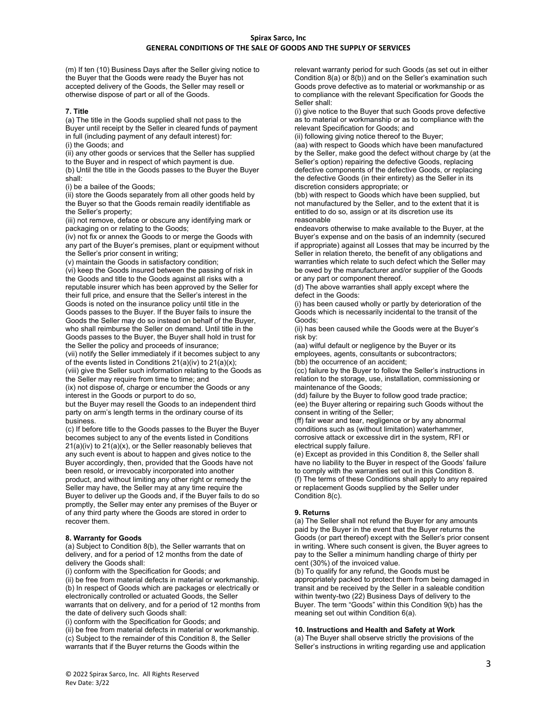(m) If ten (10) Business Days after the Seller giving notice to the Buyer that the Goods were ready the Buyer has not accepted delivery of the Goods, the Seller may resell or otherwise dispose of part or all of the Goods.

## **7. Title**

(a) The title in the Goods supplied shall not pass to the Buyer until receipt by the Seller in cleared funds of payment in full (including payment of any default interest) for: (i) the Goods; and

(ii) any other goods or services that the Seller has supplied to the Buyer and in respect of which payment is due. (b) Until the title in the Goods passes to the Buyer the Buyer

shall:

(i) be a bailee of the Goods;

(ii) store the Goods separately from all other goods held by the Buyer so that the Goods remain readily identifiable as the Seller's property;

(iii) not remove, deface or obscure any identifying mark or packaging on or relating to the Goods;

(iv) not fix or annex the Goods to or merge the Goods with any part of the Buyer's premises, plant or equipment without the Seller's prior consent in writing;

(v) maintain the Goods in satisfactory condition;

(vi) keep the Goods insured between the passing of risk in the Goods and title to the Goods against all risks with a reputable insurer which has been approved by the Seller for their full price, and ensure that the Seller's interest in the Goods is noted on the insurance policy until title in the Goods passes to the Buyer. If the Buyer fails to insure the Goods the Seller may do so instead on behalf of the Buyer, who shall reimburse the Seller on demand. Until title in the Goods passes to the Buyer, the Buyer shall hold in trust for the Seller the policy and proceeds of insurance;

(vii) notify the Seller immediately if it becomes subject to any of the events listed in Conditions  $21(a)(iv)$  to  $21(a)(x)$ ;

(viii) give the Seller such information relating to the Goods as the Seller may require from time to time; and

(ix) not dispose of, charge or encumber the Goods or any interest in the Goods or purport to do so,

but the Buyer may resell the Goods to an independent third party on arm's length terms in the ordinary course of its business.

(c) If before title to the Goods passes to the Buyer the Buyer becomes subject to any of the events listed in Conditions 21(a)(iv) to 21(a)(x), or the Seller reasonably believes that any such event is about to happen and gives notice to the Buyer accordingly, then, provided that the Goods have not been resold, or irrevocably incorporated into another product, and without limiting any other right or remedy the Seller may have, the Seller may at any time require the Buyer to deliver up the Goods and, if the Buyer fails to do so promptly, the Seller may enter any premises of the Buyer or of any third party where the Goods are stored in order to recover them.

# **8. Warranty for Goods**

(a) Subject to Condition 8(b), the Seller warrants that on delivery, and for a period of 12 months from the date of delivery the Goods shall:

(i) conform with the Specification for Goods; and

(ii) be free from material defects in material or workmanship. (b) In respect of Goods which are packages or electrically or electronically controlled or actuated Goods, the Seller warrants that on delivery, and for a period of 12 months from the date of delivery such Goods shall:

(i) conform with the Specification for Goods; and

(ii) be free from material defects in material or workmanship. (c) Subject to the remainder of this Condition 8, the Seller warrants that if the Buyer returns the Goods within the

relevant warranty period for such Goods (as set out in either Condition 8(a) or 8(b)) and on the Seller's examination such Goods prove defective as to material or workmanship or as to compliance with the relevant Specification for Goods the Seller shall:

(i) give notice to the Buyer that such Goods prove defective as to material or workmanship or as to compliance with the relevant Specification for Goods; and

(ii) following giving notice thereof to the Buyer;

(aa) with respect to Goods which have been manufactured by the Seller, make good the defect without charge by (at the Seller's option) repairing the defective Goods, replacing defective components of the defective Goods, or replacing the defective Goods (in their entirety) as the Seller in its discretion considers appropriate; or

(bb) with respect to Goods which have been supplied, but not manufactured by the Seller, and to the extent that it is entitled to do so, assign or at its discretion use its reasonable

endeavors otherwise to make available to the Buyer, at the Buyer's expense and on the basis of an indemnity (secured if appropriate) against all Losses that may be incurred by the Seller in relation thereto, the benefit of any obligations and warranties which relate to such defect which the Seller may be owed by the manufacturer and/or supplier of the Goods or any part or component thereof.

(d) The above warranties shall apply except where the defect in the Goods:

(i) has been caused wholly or partly by deterioration of the Goods which is necessarily incidental to the transit of the Goods;

(ii) has been caused while the Goods were at the Buyer's risk by:

(aa) wilful default or negligence by the Buyer or its employees, agents, consultants or subcontractors; (bb) the occurrence of an accident;

(cc) failure by the Buyer to follow the Seller's instructions in relation to the storage, use, installation, commissioning or maintenance of the Goods;

(dd) failure by the Buyer to follow good trade practice; (ee) the Buyer altering or repairing such Goods without the consent in writing of the Seller;

(ff) fair wear and tear, negligence or by any abnormal conditions such as (without limitation) waterhammer, corrosive attack or excessive dirt in the system, RFI or electrical supply failure.

(e) Except as provided in this Condition 8, the Seller shall have no liability to the Buyer in respect of the Goods' failure to comply with the warranties set out in this Condition 8. (f) The terms of these Conditions shall apply to any repaired or replacement Goods supplied by the Seller under Condition 8(c).

# **9. Returns**

(a) The Seller shall not refund the Buyer for any amounts paid by the Buyer in the event that the Buyer returns the Goods (or part thereof) except with the Seller's prior consent in writing. Where such consent is given, the Buyer agrees to pay to the Seller a minimum handling charge of thirty per cent (30%) of the invoiced value.

(b) To qualify for any refund, the Goods must be appropriately packed to protect them from being damaged in transit and be received by the Seller in a saleable condition within twenty-two (22) Business Days of delivery to the Buyer. The term "Goods" within this Condition 9(b) has the meaning set out within Condition 6(a).

# **10. Instructions and Health and Safety at Work**

(a) The Buyer shall observe strictly the provisions of the Seller's instructions in writing regarding use and application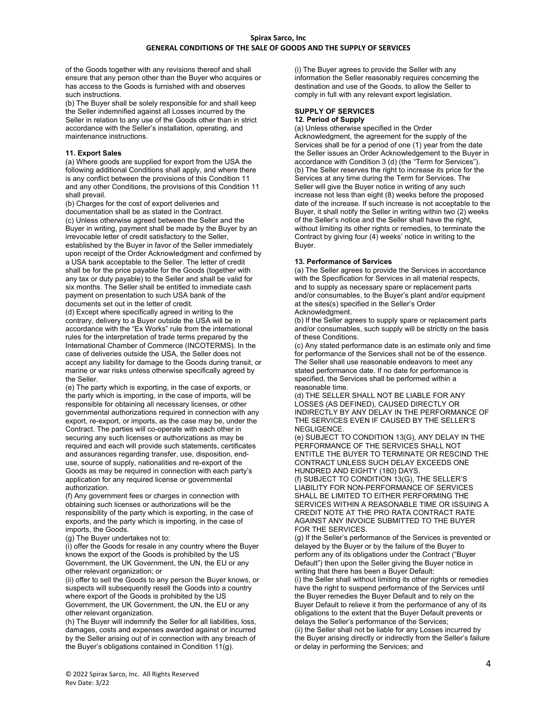of the Goods together with any revisions thereof and shall ensure that any person other than the Buyer who acquires or has access to the Goods is furnished with and observes such instructions.

(b) The Buyer shall be solely responsible for and shall keep the Seller indemnified against all Losses incurred by the Seller in relation to any use of the Goods other than in strict accordance with the Seller's installation, operating, and maintenance instructions.

# **11. Export Sales**

(a) Where goods are supplied for export from the USA the following additional Conditions shall apply, and where there is any conflict between the provisions of this Condition 11 and any other Conditions, the provisions of this Condition 11 shall prevail.

(b) Charges for the cost of export deliveries and documentation shall be as stated in the Contract. (c) Unless otherwise agreed between the Seller and the Buyer in writing, payment shall be made by the Buyer by an irrevocable letter of credit satisfactory to the Seller, established by the Buyer in favor of the Seller immediately upon receipt of the Order Acknowledgment and confirmed by a USA bank acceptable to the Seller. The letter of credit shall be for the price payable for the Goods (together with any tax or duty payable) to the Seller and shall be valid for six months. The Seller shall be entitled to immediate cash payment on presentation to such USA bank of the documents set out in the letter of credit.

(d) Except where specifically agreed in writing to the contrary, delivery to a Buyer outside the USA will be in accordance with the "Ex Works" rule from the international rules for the interpretation of trade terms prepared by the International Chamber of Commerce (INCOTERMS). In the case of deliveries outside the USA, the Seller does not accept any liability for damage to the Goods during transit, or marine or war risks unless otherwise specifically agreed by the Seller.

(e) The party which is exporting, in the case of exports, or the party which is importing, in the case of imports, will be responsible for obtaining all necessary licenses, or other governmental authorizations required in connection with any export, re-export, or imports, as the case may be, under the Contract. The parties will co-operate with each other in securing any such licenses or authorizations as may be required and each will provide such statements, certificates and assurances regarding transfer, use, disposition, enduse, source of supply, nationalities and re-export of the Goods as may be required in connection with each party's application for any required license or governmental authorization.

(f) Any government fees or charges in connection with obtaining such licenses or authorizations will be the responsibility of the party which is exporting, in the case of exports, and the party which is importing, in the case of imports, the Goods.

(g) The Buyer undertakes not to:

(i) offer the Goods for resale in any country where the Buyer knows the export of the Goods is prohibited by the US Government, the UK Government, the UN, the EU or any other relevant organization; or

(ii) offer to sell the Goods to any person the Buyer knows, or suspects will subsequently resell the Goods into a country where export of the Goods is prohibited by the US Government, the UK Government, the UN, the EU or any other relevant organization.

(h) The Buyer will indemnify the Seller for all liabilities, loss, damages, costs and expenses awarded against or incurred by the Seller arising out of in connection with any breach of the Buyer's obligations contained in Condition 11(g).

(i) The Buyer agrees to provide the Seller with any information the Seller reasonably requires concerning the destination and use of the Goods, to allow the Seller to comply in full with any relevant export legislation.

## **SUPPLY OF SERVICES 12. Period of Supply**

(a) Unless otherwise specified in the Order Acknowledgment, the agreement for the supply of the Services shall be for a period of one (1) year from the date the Seller issues an Order Acknowledgement to the Buyer in accordance with Condition 3 (d) (the "Term for Services"). (b) The Seller reserves the right to increase its price for the Services at any time during the Term for Services. The Seller will give the Buyer notice in writing of any such increase not less than eight (8) weeks before the proposed date of the increase. If such increase is not acceptable to the Buyer, it shall notify the Seller in writing within two (2) weeks of the Seller's notice and the Seller shall have the right, without limiting its other rights or remedies, to terminate the Contract by giving four (4) weeks' notice in writing to the Buyer.

# **13. Performance of Services**

(a) The Seller agrees to provide the Services in accordance with the Specification for Services in all material respects, and to supply as necessary spare or replacement parts and/or consumables, to the Buyer's plant and/or equipment at the sites(s) specified in the Seller's Order Acknowledgment.

(b) If the Seller agrees to supply spare or replacement parts and/or consumables, such supply will be strictly on the basis of these Conditions.

(c) Any stated performance date is an estimate only and time for performance of the Services shall not be of the essence. The Seller shall use reasonable endeavors to meet any stated performance date. If no date for performance is specified, the Services shall be performed within a reasonable time.

(d) THE SELLER SHALL NOT BE LIABLE FOR ANY LOSSES (AS DEFINED), CAUSED DIRECTLY OR INDIRECTLY BY ANY DELAY IN THE PERFORMANCE OF THE SERVICES EVEN IF CAUSED BY THE SELLER'S NEGLIGENCE.

(e) SUBJECT TO CONDITION 13(G), ANY DELAY IN THE PERFORMANCE OF THE SERVICES SHALL NOT ENTITLE THE BUYER TO TERMINATE OR RESCIND THE CONTRACT UNLESS SUCH DELAY EXCEEDS ONE HUNDRED AND EIGHTY (180) DAYS.

(f) SUBJECT TO CONDITION 13(G), THE SELLER'S LIABILITY FOR NON-PERFORMANCE OF SERVICES SHALL BE LIMITED TO EITHER PERFORMING THE SERVICES WITHIN A REASONABLE TIME OR ISSUING A CREDIT NOTE AT THE PRO RATA CONTRACT RATE AGAINST ANY INVOICE SUBMITTED TO THE BUYER FOR THE SERVICES.

(g) If the Seller's performance of the Services is prevented or delayed by the Buyer or by the failure of the Buyer to perform any of its obligations under the Contract ("Buyer Default") then upon the Seller giving the Buyer notice in writing that there has been a Buyer Default:

(i) the Seller shall without limiting its other rights or remedies have the right to suspend performance of the Services until the Buyer remedies the Buyer Default and to rely on the Buyer Default to relieve it from the performance of any of its obligations to the extent that the Buyer Default prevents or delays the Seller's performance of the Services; (ii) the Seller shall not be liable for any Losses incurred by the Buyer arising directly or indirectly from the Seller's failure or delay in performing the Services; and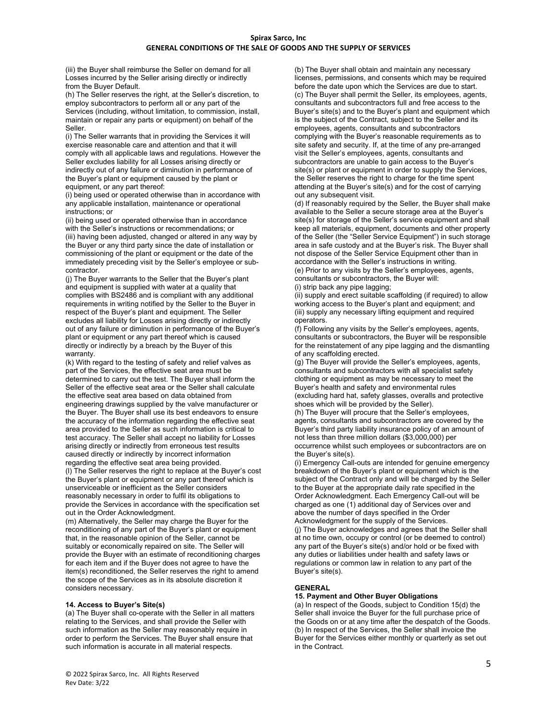(iii) the Buyer shall reimburse the Seller on demand for all Losses incurred by the Seller arising directly or indirectly from the Buyer Default.

(h) The Seller reserves the right, at the Seller's discretion, to employ subcontractors to perform all or any part of the Services (including, without limitation, to commission, install, maintain or repair any parts or equipment) on behalf of the Seller.

(i) The Seller warrants that in providing the Services it will exercise reasonable care and attention and that it will comply with all applicable laws and regulations. However the Seller excludes liability for all Losses arising directly or indirectly out of any failure or diminution in performance of the Buyer's plant or equipment caused by the plant or equipment, or any part thereof:

(i) being used or operated otherwise than in accordance with any applicable installation, maintenance or operational instructions; or

(ii) being used or operated otherwise than in accordance with the Seller's instructions or recommendations; or (iii) having been adjusted, changed or altered in any way by the Buyer or any third party since the date of installation or commissioning of the plant or equipment or the date of the immediately preceding visit by the Seller's employee or subcontractor.

(j) The Buyer warrants to the Seller that the Buyer's plant and equipment is supplied with water at a quality that complies with BS2486 and is compliant with any additional requirements in writing notified by the Seller to the Buyer in respect of the Buyer's plant and equipment. The Seller excludes all liability for Losses arising directly or indirectly out of any failure or diminution in performance of the Buyer's plant or equipment or any part thereof which is caused directly or indirectly by a breach by the Buyer of this warranty.

(k) With regard to the testing of safety and relief valves as part of the Services, the effective seat area must be determined to carry out the test. The Buyer shall inform the Seller of the effective seat area or the Seller shall calculate the effective seat area based on data obtained from engineering drawings supplied by the valve manufacturer or the Buyer. The Buyer shall use its best endeavors to ensure the accuracy of the information regarding the effective seat area provided to the Seller as such information is critical to test accuracy. The Seller shall accept no liability for Losses arising directly or indirectly from erroneous test results caused directly or indirectly by incorrect information regarding the effective seat area being provided.

(l) The Seller reserves the right to replace at the Buyer's cost the Buyer's plant or equipment or any part thereof which is unserviceable or inefficient as the Seller considers reasonably necessary in order to fulfil its obligations to provide the Services in accordance with the specification set out in the Order Acknowledgment.

(m) Alternatively, the Seller may charge the Buyer for the reconditioning of any part of the Buyer's plant or equipment that, in the reasonable opinion of the Seller, cannot be suitably or economically repaired on site. The Seller will provide the Buyer with an estimate of reconditioning charges for each item and if the Buyer does not agree to have the item(s) reconditioned, the Seller reserves the right to amend the scope of the Services as in its absolute discretion it considers necessary.

## **14. Access to Buyer's Site(s)**

(a) The Buyer shall co-operate with the Seller in all matters relating to the Services, and shall provide the Seller with such information as the Seller may reasonably require in order to perform the Services. The Buyer shall ensure that such information is accurate in all material respects.

(b) The Buyer shall obtain and maintain any necessary licenses, permissions, and consents which may be required before the date upon which the Services are due to start. (c) The Buyer shall permit the Seller, its employees, agents, consultants and subcontractors full and free access to the Buyer's site(s) and to the Buyer's plant and equipment which is the subject of the Contract, subject to the Seller and its employees, agents, consultants and subcontractors complying with the Buyer's reasonable requirements as to site safety and security. If, at the time of any pre-arranged visit the Seller's employees, agents, consultants and subcontractors are unable to gain access to the Buyer's site(s) or plant or equipment in order to supply the Services, the Seller reserves the right to charge for the time spent attending at the Buyer's site(s) and for the cost of carrying out any subsequent visit.

(d) If reasonably required by the Seller, the Buyer shall make available to the Seller a secure storage area at the Buyer's site(s) for storage of the Seller's service equipment and shall keep all materials, equipment, documents and other property of the Seller (the "Seller Service Equipment") in such storage area in safe custody and at the Buyer's risk. The Buyer shall not dispose of the Seller Service Equipment other than in accordance with the Seller's instructions in writing. (e) Prior to any visits by the Seller's employees, agents, consultants or subcontractors, the Buyer will: (i) strip back any pipe lagging;

(ii) supply and erect suitable scaffolding (if required) to allow working access to the Buyer's plant and equipment; and (iii) supply any necessary lifting equipment and required operators.

(f) Following any visits by the Seller's employees, agents, consultants or subcontractors, the Buyer will be responsible for the reinstatement of any pipe lagging and the dismantling of any scaffolding erected.

(g) The Buyer will provide the Seller's employees, agents, consultants and subcontractors with all specialist safety clothing or equipment as may be necessary to meet the Buyer's health and safety and environmental rules (excluding hard hat, safety glasses, overalls and protective shoes which will be provided by the Seller).

(h) The Buyer will procure that the Seller's employees, agents, consultants and subcontractors are covered by the Buyer's third party liability insurance policy of an amount of not less than three million dollars (\$3,000,000) per occurrence whilst such employees or subcontractors are on the Buyer's site(s).

(i) Emergency Call-outs are intended for genuine emergency breakdown of the Buyer's plant or equipment which is the subject of the Contract only and will be charged by the Seller to the Buyer at the appropriate daily rate specified in the Order Acknowledgment. Each Emergency Call-out will be charged as one (1) additional day of Services over and above the number of days specified in the Order Acknowledgment for the supply of the Services. (j) The Buyer acknowledges and agrees that the Seller shall at no time own, occupy or control (or be deemed to control) any part of the Buyer's site(s) and/or hold or be fixed with any duties or liabilities under health and safety laws or regulations or common law in relation to any part of the Buyer's site(s).

## **GENERAL**

# **15. Payment and Other Buyer Obligations**

(a) In respect of the Goods, subject to Condition 15(d) the Seller shall invoice the Buyer for the full purchase price of the Goods on or at any time after the despatch of the Goods. (b) In respect of the Services, the Seller shall invoice the Buyer for the Services either monthly or quarterly as set out in the Contract.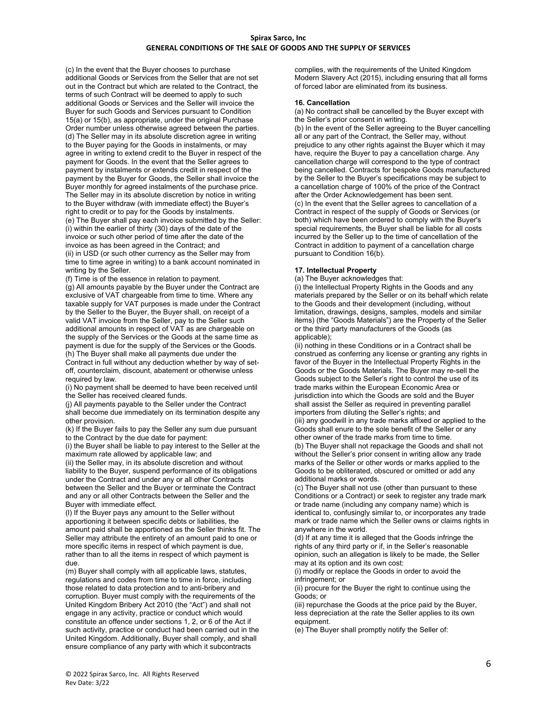(c) In the event that the Buyer chooses to purchase additional Goods or Services from the Seller that are not set out in the Contract but which are related to the Contract, the terms of such Contract will be deemed to apply to such additional Goods or Services and the Seller will invoice the Buyer for such Goods and Services pursuant to Condition 15(a) or 15(b), as appropriate, under the original Purchase Order number unless otherwise agreed between the parties. (d) The Seller may in its absolute discretion agree in writing to the Buyer paying for the Goods in instalments, or may agree in writing to extend credit to the Buyer in respect of the payment for Goods. In the event that the Seller agrees to payment by instalments or extends credit in respect of the payment by the Buyer for Goods, the Seller shall invoice the Buyer monthly for agreed instalments of the purchase price. The Seller may in its absolute discretion by notice in writing to the Buyer withdraw (with immediate effect) the Buyer's right to credit or to pay for the Goods by instalments. (e) The Buyer shall pay each invoice submitted by the Seller: (i) within the earlier of thirty (30) days of the date of the invoice or such other period of time after the date of the invoice as has been agreed in the Contract; and (ii) in USD (or such other currency as the Seller may from time to time agree in writing) to a bank account nominated in writing by the Seller.

(f) Time is of the essence in relation to payment.

(g) All amounts payable by the Buyer under the Contract are exclusive of VAT chargeable from time to time. Where any taxable supply for VAT purposes is made under the Contract by the Seller to the Buyer, the Buyer shall, on receipt of a valid VAT invoice from the Seller, pay to the Seller such additional amounts in respect of VAT as are chargeable on the supply of the Services or the Goods at the same time as payment is due for the supply of the Services or the Goods. (h) The Buyer shall make all payments due under the Contract in full without any deduction whether by way of setoff, counterclaim, discount, abatement or otherwise unless required by law.

(i) No payment shall be deemed to have been received until the Seller has received cleared funds.

(j) All payments payable to the Seller under the Contract shall become due immediately on its termination despite any other provision.

(k) If the Buyer fails to pay the Seller any sum due pursuant to the Contract by the due date for payment:

(i) the Buyer shall be liable to pay interest to the Seller at the maximum rate allowed by applicable law; and

(ii) the Seller may, in its absolute discretion and without liability to the Buyer, suspend performance of its obligations under the Contract and under any or all other Contracts between the Seller and the Buyer or terminate the Contract and any or all other Contracts between the Seller and the Buyer with immediate effect.

(l) If the Buyer pays any amount to the Seller without apportioning it between specific debts or liabilities, the amount paid shall be apportioned as the Seller thinks fit. The Seller may attribute the entirety of an amount paid to one or more specific items in respect of which payment is due, rather than to all the items in respect of which payment is due.

(m) Buyer shall comply with all applicable laws, statutes, regulations and codes from time to time in force, including those related to data protection and to anti-bribery and corruption. Buyer must comply with the requirements of the United Kingdom Bribery Act 2010 (the "Act") and shall not engage in any activity, practice or conduct which would constitute an offence under sections 1, 2, or 6 of the Act if such activity, practice or conduct had been carried out in the United Kingdom. Additionally, Buyer shall comply, and shall ensure compliance of any party with which it subcontracts

complies, with the requirements of the United Kingdom Modern Slavery Act (2015), including ensuring that all forms of forced labor are eliminated from its business.

#### **16. Cancellation**

(a) No contract shall be cancelled by the Buyer except with the Seller's prior consent in writing.

(b) In the event of the Seller agreeing to the Buyer cancelling all or any part of the Contract, the Seller may, without prejudice to any other rights against the Buyer which it may have, require the Buyer to pay a cancellation charge. Any cancellation charge will correspond to the type of contract being cancelled. Contracts for bespoke Goods manufactured by the Seller to the Buyer's specifications may be subject to a cancellation charge of 100% of the price of the Contract after the Order Acknowledgement has been sent. (c) In the event that the Seller agrees to cancellation of a Contract in respect of the supply of Goods or Services (or both) which have been ordered to comply with the Buyer's special requirements, the Buyer shall be liable for all costs incurred by the Seller up to the time of cancellation of the Contract in addition to payment of a cancellation charge pursuant to Condition 16(b).

#### **17. Intellectual Property**

(a) The Buyer acknowledges that:

(i) the Intellectual Property Rights in the Goods and any materials prepared by the Seller or on its behalf which relate to the Goods and their development (including, without limitation, drawings, designs, samples, models and similar items) (the "Goods Materials") are the Property of the Seller or the third party manufacturers of the Goods (as applicable);

(ii) nothing in these Conditions or in a Contract shall be construed as conferring any license or granting any rights in favor of the Buyer in the Intellectual Property Rights in the Goods or the Goods Materials. The Buyer may re-sell the Goods subject to the Seller's right to control the use of its trade marks within the European Economic Area or jurisdiction into which the Goods are sold and the Buyer shall assist the Seller as required in preventing parallel importers from diluting the Seller's rights; and (iii) any goodwill in any trade marks affixed or applied to the

Goods shall enure to the sole benefit of the Seller or any other owner of the trade marks from time to time.

(b) The Buyer shall not repackage the Goods and shall not without the Seller's prior consent in writing allow any trade marks of the Seller or other words or marks applied to the Goods to be obliterated, obscured or omitted or add any additional marks or words.

(c) The Buyer shall not use (other than pursuant to these Conditions or a Contract) or seek to register any trade mark or trade name (including any company name) which is identical to, confusingly similar to, or incorporates any trade mark or trade name which the Seller owns or claims rights in anywhere in the world.

(d) If at any time it is alleged that the Goods infringe the rights of any third party or if, in the Seller's reasonable opinion, such an allegation is likely to be made, the Seller may at its option and its own cost:

(i) modify or replace the Goods in order to avoid the infringement; or

(ii) procure for the Buyer the right to continue using the Goods; or

(iii) repurchase the Goods at the price paid by the Buyer, less depreciation at the rate the Seller applies to its own equipment.

(e) The Buyer shall promptly notify the Seller of: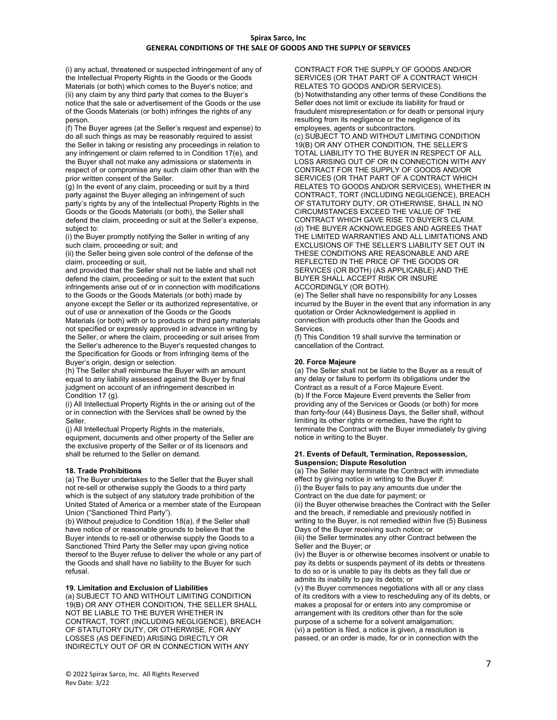(i) any actual, threatened or suspected infringement of any of the Intellectual Property Rights in the Goods or the Goods Materials (or both) which comes to the Buyer's notice; and (ii) any claim by any third party that comes to the Buyer's notice that the sale or advertisement of the Goods or the use of the Goods Materials (or both) infringes the rights of any person.

(f) The Buyer agrees (at the Seller's request and expense) to do all such things as may be reasonably required to assist the Seller in taking or resisting any proceedings in relation to any infringement or claim referred to in Condition 17(e), and the Buyer shall not make any admissions or statements in respect of or compromise any such claim other than with the prior written consent of the Seller.

(g) In the event of any claim, proceeding or suit by a third party against the Buyer alleging an infringement of such party's rights by any of the Intellectual Property Rights in the Goods or the Goods Materials (or both), the Seller shall defend the claim, proceeding or suit at the Seller's expense, subject to:

(i) the Buyer promptly notifying the Seller in writing of any such claim, proceeding or suit; and

(ii) the Seller being given sole control of the defense of the claim, proceeding or suit,

and provided that the Seller shall not be liable and shall not defend the claim, proceeding or suit to the extent that such infringements arise out of or in connection with modifications to the Goods or the Goods Materials (or both) made by anyone except the Seller or its authorized representative, or

out of use or annexation of the Goods or the Goods Materials (or both) with or to products or third party materials not specified or expressly approved in advance in writing by the Seller, or where the claim, proceeding or suit arises from the Seller's adherence to the Buyer's requested changes to

the Specification for Goods or from infringing items of the Buyer's origin, design or selection. (h) The Seller shall reimburse the Buyer with an amount

equal to any liability assessed against the Buyer by final judgment on account of an infringement described in Condition 17 (g).

(i) All Intellectual Property Rights in the or arising out of the or in connection with the Services shall be owned by the Seller.

(j) All Intellectual Property Rights in the materials, equipment, documents and other property of the Seller are the exclusive property of the Seller or of its licensors and shall be returned to the Seller on demand.

## **18. Trade Prohibitions**

(a) The Buyer undertakes to the Seller that the Buyer shall not re-sell or otherwise supply the Goods to a third party which is the subject of any statutory trade prohibition of the United Stated of America or a member state of the European Union ("Sanctioned Third Party").

(b) Without prejudice to Condition 18(a), if the Seller shall have notice of or reasonable grounds to believe that the Buyer intends to re-sell or otherwise supply the Goods to a Sanctioned Third Party the Seller may upon giving notice thereof to the Buyer refuse to deliver the whole or any part of the Goods and shall have no liability to the Buyer for such refusal.

#### **19. Limitation and Exclusion of Liabilities**

(a) SUBJECT TO AND WITHOUT LIMITING CONDITION 19(B) OR ANY OTHER CONDITION, THE SELLER SHALL NOT BE LIABLE TO THE BUYER WHETHER IN CONTRACT, TORT (INCLUDING NEGLIGENCE), BREACH OF STATUTORY DUTY, OR OTHERWISE, FOR ANY LOSSES (AS DEFINED) ARISING DIRECTLY OR INDIRECTLY OUT OF OR IN CONNECTION WITH ANY

CONTRACT FOR THE SUPPLY OF GOODS AND/OR SERVICES (OR THAT PART OF A CONTRACT WHICH RELATES TO GOODS AND/OR SERVICES). (b) Notwithstanding any other terms of these Conditions the Seller does not limit or exclude its liability for fraud or fraudulent misrepresentation or for death or personal injury resulting from its negligence or the negligence of its employees, agents or subcontractors.

(c) SUBJECT TO AND WITHOUT LIMITING CONDITION 19(B) OR ANY OTHER CONDITION, THE SELLER'S TOTAL LIABILITY TO THE BUYER IN RESPECT OF ALL LOSS ARISING OUT OF OR IN CONNECTION WITH ANY CONTRACT FOR THE SUPPLY OF GOODS AND/OR SERVICES (OR THAT PART OF A CONTRACT WHICH RELATES TO GOODS AND/OR SERVICES), WHETHER IN CONTRACT, TORT (INCLUDING NEGLIGENCE), BREACH OF STATUTORY DUTY, OR OTHERWISE, SHALL IN NO CIRCUMSTANCES EXCEED THE VALUE OF THE CONTRACT WHICH GAVE RISE TO BUYER'S CLAIM. (d) THE BUYER ACKNOWLEDGES AND AGREES THAT THE LIMITED WARRANTIES AND ALL LIMITATIONS AND EXCLUSIONS OF THE SELLER'S LIABILITY SET OUT IN THESE CONDITIONS ARE REASONABLE AND ARE REFLECTED IN THE PRICE OF THE GOODS OR SERVICES (OR BOTH) (AS APPLICABLE) AND THE BUYER SHALL ACCEPT RISK OR INSURE ACCORDINGLY (OR BOTH).

(e) The Seller shall have no responsibility for any Losses incurred by the Buyer in the event that any information in any quotation or Order Acknowledgement is applied in connection with products other than the Goods and **Services** 

(f) This Condition 19 shall survive the termination or cancellation of the Contract.

#### **20. Force Majeure**

(a) The Seller shall not be liable to the Buyer as a result of any delay or failure to perform its obligations under the Contract as a result of a Force Majeure Event. (b) If the Force Majeure Event prevents the Seller from providing any of the Services or Goods (or both) for more than forty-four (44) Business Days, the Seller shall, without limiting its other rights or remedies, have the right to terminate the Contract with the Buyer immediately by giving notice in writing to the Buyer.

#### **21. Events of Default, Termination, Repossession, Suspension; Dispute Resolution**

(a) The Seller may terminate the Contract with immediate effect by giving notice in writing to the Buyer if: (i) the Buyer fails to pay any amounts due under the Contract on the due date for payment; or (ii) the Buyer otherwise breaches the Contract with the Seller

and the breach, if remediable and previously notified in writing to the Buyer, is not remedied within five (5) Business Days of the Buyer receiving such notice; or

(iii) the Seller terminates any other Contract between the Seller and the Buyer; or

(iv) the Buyer is or otherwise becomes insolvent or unable to pay its debts or suspends payment of its debts or threatens to do so or is unable to pay its debts as they fall due or admits its inability to pay its debts; or

(v) the Buyer commences negotiations with all or any class of its creditors with a view to rescheduling any of its debts, or makes a proposal for or enters into any compromise or arrangement with its creditors other than for the sole purpose of a scheme for a solvent amalgamation; (vi) a petition is filed, a notice is given, a resolution is passed, or an order is made, for or in connection with the